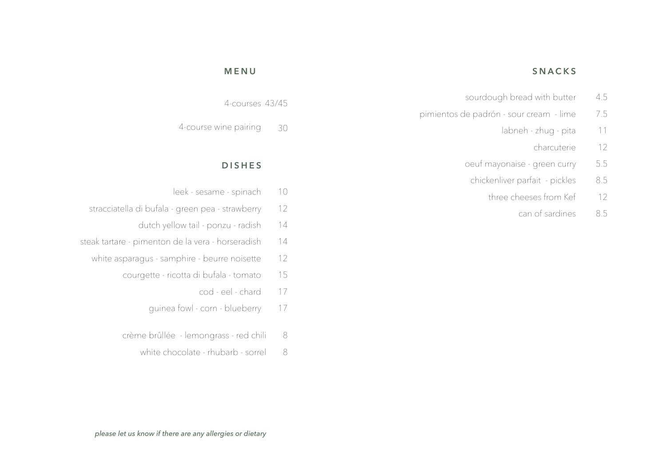#### **SNACKS MENUS SNACKS**

- $\frac{43}{5}$ sourdough bread with butter 4.5
- pimientos de padrón sour cream lime 7.5
	- 30 11 labneh - zhug - pita
		- charcuterie 12
	- oeuf mayonaise green curry 5.5
		- chickenliver parfait pickles 8.5
			- 10 leek - sesame - spinach three cheeses from Kef 12
- 12 stracciatella di bufala - green pea - strawberry can of sardines 8.5

# **MENU**

4-courses 43/45

30 4-course wine pairing

## **DISHES**

- 10 leek - sesame - spinach  $\frac{1}{2}$
- 12 stracciatella di bufala - green pea - strawberry 8.5
	- 14 dutch yellow tail - ponzu - radish
- 14 steak tartare - pimenton de la vera - horseradish
	- 12 white asparagus - samphire - beurre noisette
		- 15 courgette - ricotta di bufala - tomato
			- 17 cod - eel - chard
			- 17 guinea fowl - corn - blueberry
		- 8 crème brûllée - lemongrass - red chili
			- 8 white chocolate - rhubarb - sorrel